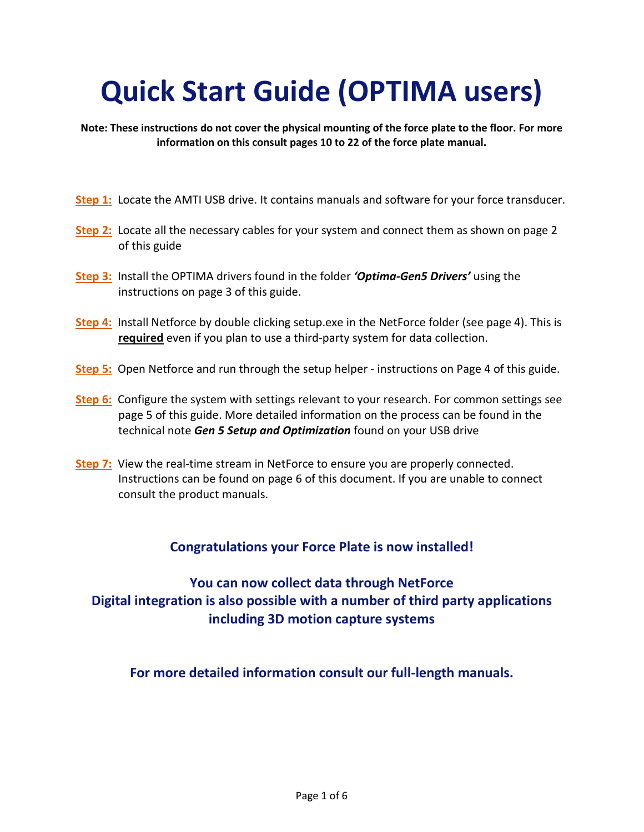# **Quick Start Guide (OPTIMA users)**

**Note: These instructions do not cover the physical mounting of the force plate to the floor. For more information on this consult pages 10 to 22 of the force plate manual.**

- **[Step 1:](#page-1-0)** Locate the AMTI USB drive. It contains manuals and software for your force transducer.
- **[Step 2:](#page-1-1)** Locate all the necessary cables for your system and connect them as shown on page 2 of this guide
- **[Step 3:](#page-1-2)** Install the OPTIMA drivers found in the folder *'Optima-Gen5 Drivers'* using the instructions on page 3 of this guide.
- **[Step 4:](#page-3-0)** Install Netforce by double clicking setup.exe in the NetForce folder (see page 4). This is **required** even if you plan to use a third-party system for data collection.
- **[Step 5:](#page-3-1)** Open Netforce and run through the setup helper instructions on Page 4 of this guide.
- **Step 6:** Configure the system with settings relevant to your research. For common settings see page 5 of this guide. More detailed information on the process can be found in the technical note *Gen 5 Setup and Optimization* found on your USB drive
- **[Step 7:](#page-5-0)** View the real-time stream in NetForce to ensure you are properly connected. Instructions can be found on page 6 of this document. If you are unable to connect consult the product manuals.

## **Congratulations your Force Plate is now installed!**

**You can now collect data through NetForce Digital integration is also possible with a number of third party applications including 3D motion capture systems**

**For more detailed information consult our full-length manuals.**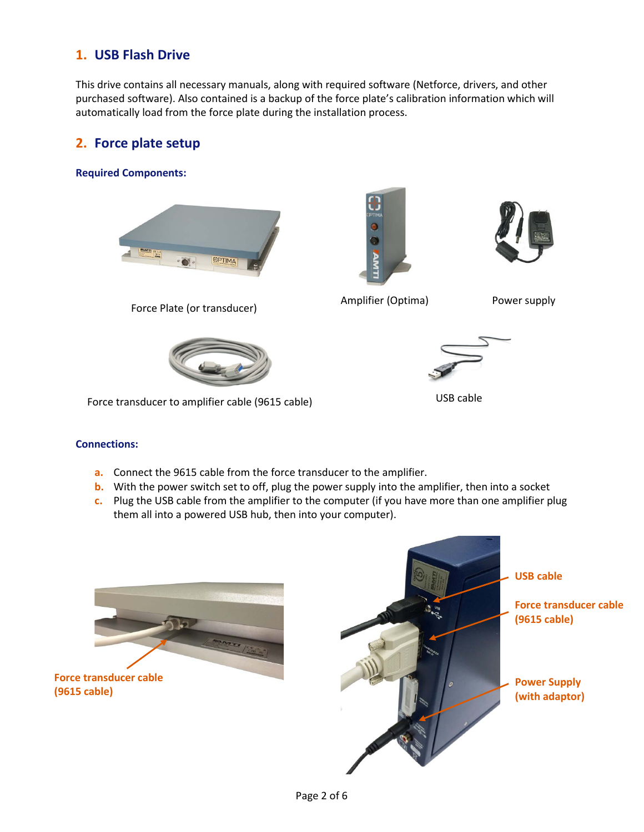# <span id="page-1-0"></span>**1. USB Flash Drive**

This drive contains all necessary manuals, along with required software (Netforce, drivers, and other purchased software). Also contained is a backup of the force plate's calibration information which will automatically load from the force plate during the installation process.

## <span id="page-1-1"></span>**2. Force plate setup**

#### **Required Components:**



Force Plate (or transducer)





Amplifier (Optima) Power supply



Force transducer to amplifier cable (9615 cable)



USB cable

## **Connections:**

- **a.** Connect the 9615 cable from the force transducer to the amplifier.
- **b.** With the power switch set to off, plug the power supply into the amplifier, then into a socket
- **c.** Plug the USB cable from the amplifier to the computer (if you have more than one amplifier plug them all into a powered USB hub, then into your computer).



<span id="page-1-2"></span>**Force transducer cable (9615 cable)**

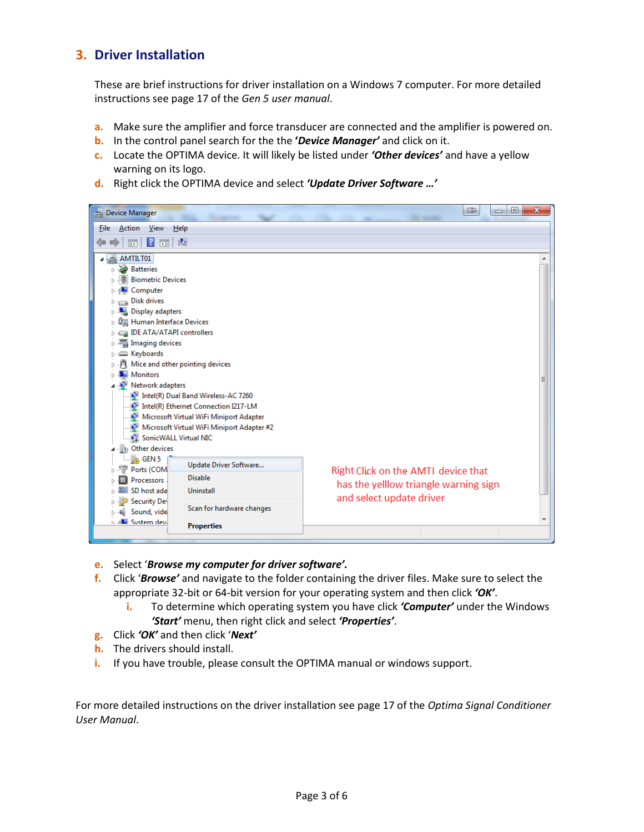# **3. Driver Installation**

These are brief instructions for driver installation on a Windows 7 computer. For more detailed instructions see page 17 of the *Gen 5 user manual*.

- **a.** Make sure the amplifier and force transducer are connected and the amplifier is powered on.
- **b.** In the control panel search for the the **'***Device Manager'* and click on it.
- **c.** Locate the OPTIMA device. It will likely be listed under *'Other devices'* and have a yellow warning on its logo.
- **d.** Right click the OPTIMA device and select *'Update Driver Software …'*

| Device Manager                                                                                                                                                                                                                                                                                                                                                                                                                                                                                 | o<br>œ<br>$\Box$                                                  | $\mathbf{x}$ |  |
|------------------------------------------------------------------------------------------------------------------------------------------------------------------------------------------------------------------------------------------------------------------------------------------------------------------------------------------------------------------------------------------------------------------------------------------------------------------------------------------------|-------------------------------------------------------------------|--------------|--|
| Action<br>View<br>Help<br><b>File</b>                                                                                                                                                                                                                                                                                                                                                                                                                                                          |                                                                   |              |  |
| ₫Q.<br> ? <br>屚<br>屙                                                                                                                                                                                                                                                                                                                                                                                                                                                                           |                                                                   |              |  |
| AMTILT01<br><b>Batteries</b><br><b>&amp;</b> Biometric Devices<br>Computer<br>Disk drives<br>Display adapters<br>Human Interface Devices<br>IDE ATA/ATAPI controllers<br>Imaging devices<br>Seyboards<br>Mice and other pointing devices<br>Monitors<br>Network adapters<br>Intel(R) Dual Band Wireless-AC 7260<br>Intel(R) Ethernet Connection I217-LM<br>Microsoft Virtual WiFi Miniport Adapter<br>Microsoft Virtual WiFi Miniport Adapter #2<br>SonicWALL Virtual NIC<br>(B) Other devices |                                                                   |              |  |
| <b>M<sub>b</sub></b> GEN <sub>5</sub><br>Update Driver Software                                                                                                                                                                                                                                                                                                                                                                                                                                |                                                                   |              |  |
| Ports (COM<br><b>Disable</b><br>Processors                                                                                                                                                                                                                                                                                                                                                                                                                                                     | Right Click on the AMTI device that                               |              |  |
| SD host ada<br>Uninstall                                                                                                                                                                                                                                                                                                                                                                                                                                                                       | has the yelllow triangle warning sign<br>and select update driver |              |  |
| <b>Security Dev</b><br>Scan for hardware changes<br>Sound, vide                                                                                                                                                                                                                                                                                                                                                                                                                                |                                                                   |              |  |
| <b>NE System devi</b><br><b>Properties</b>                                                                                                                                                                                                                                                                                                                                                                                                                                                     |                                                                   |              |  |

- **e.** Select '*Browse my computer for driver software'.*
- **f.** Click '*Browse'* and navigate to the folder containing the driver files. Make sure to select the appropriate 32-bit or 64-bit version for your operating system and then click *'OK'*.
	- **i.** To determine which operating system you have click *'Computer'* under the Windows *'Start'* menu, then right click and select *'Properties'*.
- **g.** Click *'OK'* and then click '*Next'*
- **h.** The drivers should install.
- **i.** If you have trouble, please consult the OPTIMA manual or windows support.

For more detailed instructions on the driver installation see page 17 of the *Optima Signal Conditioner User Manual*.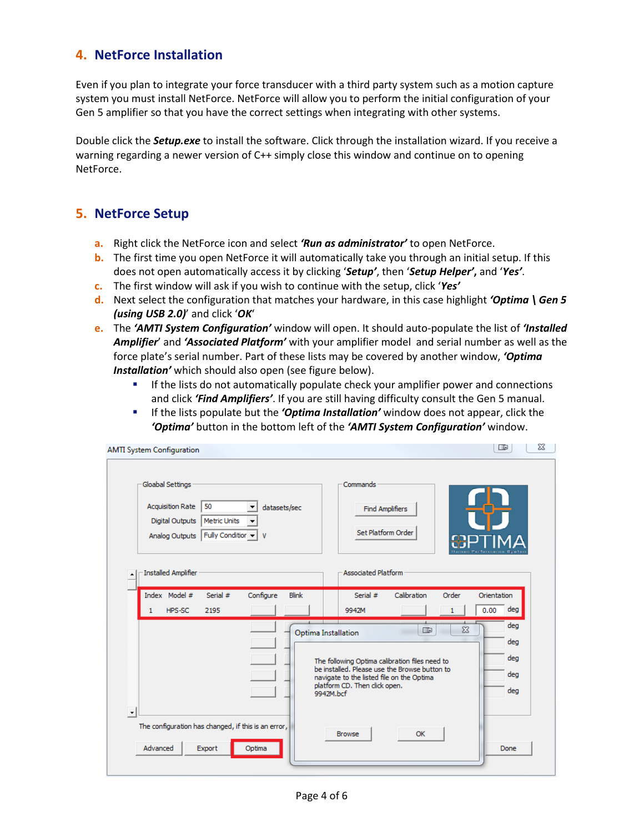# <span id="page-3-0"></span>**4. NetForce Installation**

Even if you plan to integrate your force transducer with a third party system such as a motion capture system you must install NetForce. NetForce will allow you to perform the initial configuration of your Gen 5 amplifier so that you have the correct settings when integrating with other systems.

Double click the *Setup.exe* to install the software. Click through the installation wizard. If you receive a warning regarding a newer version of C++ simply close this window and continue on to opening NetForce.

## <span id="page-3-1"></span>**5. NetForce Setup**

- **a.** Right click the NetForce icon and select *'Run as administrator'* to open NetForce.
- **b.** The first time you open NetForce it will automatically take you through an initial setup. If this does not open automatically access it by clicking '*Setup'*, then '*Setup Helper'***,** and '*Yes'*.
- **c.** The first window will ask if you wish to continue with the setup, click '*Yes'*
- **d.** Next select the configuration that matches your hardware, in this case highlight *'Optima \ Gen 5 (using USB 2.0)*' and click '*OK*'
- **e.** The *'AMTI System Configuration'* window will open. It should auto-populate the list of *'Installed Amplifier*' and *'Associated Platform'* with your amplifier model and serial number as well as the force plate's serial number. Part of these lists may be covered by another window, *'Optima Installation'* which should also open (see figure below).
	- **If the lists do not automatically populate check your amplifier power and connections** and click *'Find Amplifiers'*. If you are still having difficulty consult the Gen 5 manual.
	- If the lists populate but the *'Optima Installation'* window does not appear, click the *'Optima'* button in the bottom left of the *'AMTI System Configuration'* window.

| <b>AMTI System Configuration</b>                                                                                                                                                                                                                                                                | X<br>œ                                                                                       |  |  |
|-------------------------------------------------------------------------------------------------------------------------------------------------------------------------------------------------------------------------------------------------------------------------------------------------|----------------------------------------------------------------------------------------------|--|--|
| Gloabal Settings<br><b>Acquisition Rate</b><br>50<br>datasets/sec<br><b>Digital Outputs</b><br>Metric Units<br>Analog Outputs   Fully Condition +<br>v                                                                                                                                          | Commands<br><b>Find Amplifiers</b><br>Set Platform Order                                     |  |  |
| Installed Amplifier                                                                                                                                                                                                                                                                             | <b>Associated Platform</b>                                                                   |  |  |
| Index Model #<br>Configure<br>Serial #<br>HPS-SC<br>2195                                                                                                                                                                                                                                        | Calibration<br><b>Blink</b><br>Serial #<br>Order<br>Orientation<br>0.00<br>deg<br>9942M<br>1 |  |  |
| deg<br>$\Sigma$<br>œ<br>Optima Installation<br>deg<br>deg<br>The following Optima calibration files need to<br>be installed. Please use the Browse button to<br>deg<br>navigate to the listed file on the Optima<br>platform CD. Then click open.<br>deg<br>9942M.bcf<br>$\left  \cdot \right $ |                                                                                              |  |  |
| The configuration has changed, if this is an error,<br>Advanced<br>Optima<br>Export                                                                                                                                                                                                             | <b>OK</b><br><b>Browse</b><br>Done                                                           |  |  |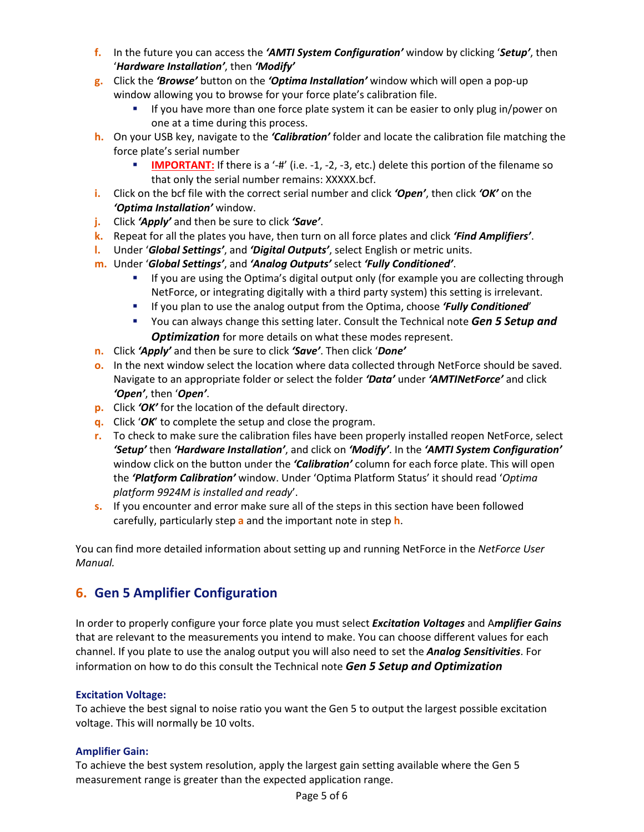- **f.** In the future you can access the *'AMTI System Configuration'* window by clicking '*Setup'*, then '*Hardware Installation'*, then *'Modify'*
- **g.** Click the *'Browse'* button on the *'Optima Installation'* window which will open a pop-up window allowing you to browse for your force plate's calibration file.
	- If you have more than one force plate system it can be easier to only plug in/power on one at a time during this process.
- **h.** On your USB key, navigate to the *'Calibration'* folder and locate the calibration file matching the force plate's serial number
	- **IMPORTANT:** If there is a '-#' (i.e. -1, -2, -3, etc.) delete this portion of the filename so that only the serial number remains: XXXXX.bcf.
- **i.** Click on the bcf file with the correct serial number and click *'Open'*, then click *'OK'* on the *'Optima Installation'* window.
- **j.** Click *'Apply'* and then be sure to click *'Save'*.
- **k.** Repeat for all the plates you have, then turn on all force plates and click *'Find Amplifiers'*.
- **l.** Under '*Global Settings'*, and *'Digital Outputs'*, select English or metric units.
- **m.** Under '*Global Settings'*, and *'Analog Outputs'* select *'Fully Conditioned'*.
	- If you are using the Optima's digital output only (for example you are collecting through NetForce, or integrating digitally with a third party system) this setting is irrelevant.
	- If you plan to use the analog output from the Optima, choose *'Fully Conditioned*'
	- You can always change this setting later. Consult the Technical note *Gen 5 Setup and*  **Optimization** for more details on what these modes represent.
- **n.** Click *'Apply'* and then be sure to click *'Save'*. Then click '*Done'*
- **o.** In the next window select the location where data collected through NetForce should be saved. Navigate to an appropriate folder or select the folder *'Data'* under *'AMTINetForce'* and click *'Open'*, then '*Open'*.
- **p.** Click *'OK'* for the location of the default directory.
- **q.** Click '*OK*' to complete the setup and close the program.
- **r.** To check to make sure the calibration files have been properly installed reopen NetForce, select *'Setup'* then *'Hardware Installation'*, and click on *'Modify'*. In the *'AMTI System Configuration'* window click on the button under the *'Calibration'* column for each force plate. This will open the *'Platform Calibration'* window. Under 'Optima Platform Status' it should read '*Optima platform 9924M is installed and ready*'.
- **s.** If you encounter and error make sure all of the steps in this section have been followed carefully, particularly step **a** and the important note in step **h**.

You can find more detailed information about setting up and running NetForce in the *NetForce User Manual.*

# **6. Gen 5 Amplifier Configuration**

In order to properly configure your force plate you must select *Excitation Voltages* and A*mplifier Gains* that are relevant to the measurements you intend to make. You can choose different values for each channel. If you plate to use the analog output you will also need to set the *Analog Sensitivities*. For information on how to do this consult the Technical note *Gen 5 Setup and Optimization*

## **Excitation Voltage:**

To achieve the best signal to noise ratio you want the Gen 5 to output the largest possible excitation voltage. This will normally be 10 volts.

## **Amplifier Gain:**

To achieve the best system resolution, apply the largest gain setting available where the Gen 5 measurement range is greater than the expected application range.